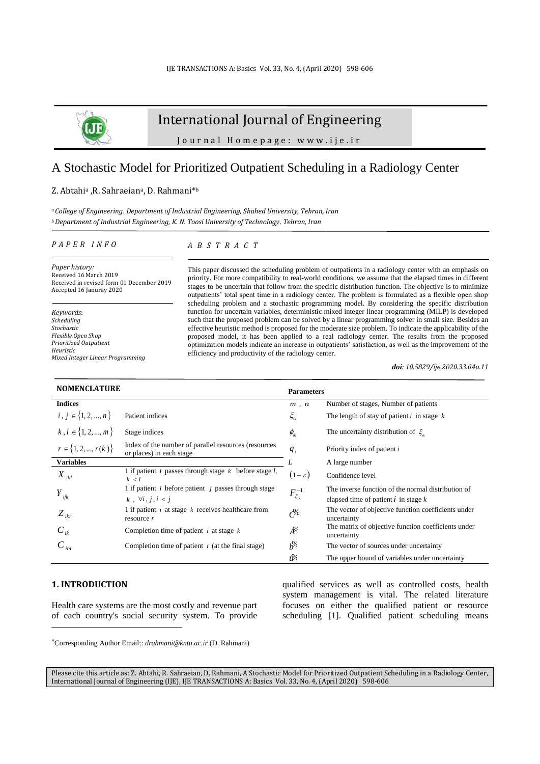

# International Journal of Engineering

J o u r n a l H o m e p a g e : w w w . i j e . i r

# A Stochastic Model for Prioritized Outpatient Scheduling in a Radiology Center

#### Z. Abtahiª ,R. Sahraeianª, D. Rahmani\*b

*<sup>a</sup>College of Engineering*, *Department of Industrial Engineering, Shahed University, Tehran, Iran <sup>b</sup>Department of Industrial Engineering, K. N. Toosi University of Technology*, *Tehran, Iran*

#### *P A P E R I N F O*

*A B S T R A C T*

*Paper history:* Received 16 March 2019 Received in revised form 01 December 2019 Accepted 16 Januray 2020

*Keywords*: *Scheduling Stochastic Flexible Open Shop Prioritized Outpatient Heuristic Mixed Integer Linear Programming* This paper discussed the scheduling problem of outpatients in a radiology center with an emphasis on priority. For more compatibility to real-world conditions, we assume that the elapsed times in different stages to be uncertain that follow from the specific distribution function. The objective is to minimize outpatients' total spent time in a radiology center. The problem is formulated as a flexible open shop scheduling problem and a stochastic programming model. By considering the specific distribution function for uncertain variables, deterministic mixed integer linear programming (MILP) is developed such that the proposed problem can be solved by a linear programming solver in small size. Besides an effective heuristic method is proposed for the moderate size problem. To indicate the applicability of the proposed model, it has been applied to a real radiology center. The results from the proposed optimization models indicate an increase in outpatients' satisfaction, as well as the improvement of the efficiency and productivity of the radiology center.

*doi: 10.5829/ije.2020.33.04a.11*

| <b>NOMENCLATURE</b>       |                                                                                  | <b>Parameters</b>                   |                                                                    |
|---------------------------|----------------------------------------------------------------------------------|-------------------------------------|--------------------------------------------------------------------|
| <b>Indices</b>            |                                                                                  | m, n                                | Number of stages, Number of patients                               |
| $i, j \in \{1, 2, , n\}$  | Patient indices                                                                  | $\xi_{ik}$                          | The length of stay of patient $i$ in stage $k$                     |
| $k, l \in \{1, 2, , m\}$  | Stage indices                                                                    | $\phi_{ik}$                         | The uncertainty distribution of $\zeta_u$                          |
| $r \in \{1, 2, , r(k)\}\$ | Index of the number of parallel resources (resources<br>or places) in each stage | $q_i$                               | Priority index of patient $i$                                      |
| <b>Variables</b>          |                                                                                  |                                     | A large number                                                     |
| $X_{ikl}$                 | 1 if patient <i>i</i> passes through stage $k$ before stage $l$ ,<br>k < l       | $(1-\varepsilon)$                   | Confidence level                                                   |
|                           | 1 if patient <i>i</i> before patient <i>j</i> passes through stage               |                                     | The inverse function of the normal distribution of                 |
| $Y_{ijk}$                 | k, $\forall i, j, i < j$                                                         | $F_{\xi_{ik}}^{-1}$                 | elapsed time of patient $\vec{l}$ in stage $k$                     |
| $Z_{ikr}$                 | 1 if patient $i$ at stage $k$ receives healthcare from<br>resource $r$           | $\mathcal{C}^{\prime\prime}$        | The vector of objective function coefficients under<br>uncertainty |
| $C_{ik}$                  | Completion time of patient $i$ at stage $k$                                      | $A\!\!\!\!{}^\circ\!\!\!\!{}^\circ$ | The matrix of objective function coefficients under<br>uncertainty |
| $C_{_{im}}$               | Completion time of patient $i$ (at the final stage)                              | $h^{0/2}$                           | The vector of sources under uncertainty                            |
|                           |                                                                                  | ı‰                                  | The upper bound of variables under uncertainty                     |

### **1. INTRODUCTION<sup>1</sup>**

Health care systems are the most costly and revenue part of each country's social security system. To provide

qualified services as well as controlled costs, health system management is vital. The related literature focuses on either the qualified patient or resource scheduling [1]. Qualified patient scheduling means

Please cite this article as: Z. Abtahi, R. Sahraeian, D. Rahmani, A Stochastic Model for Prioritized Outpatient Scheduling in a Radiology Center, International Journal of Engineering (IJE), IJE TRANSACTIONS A: Basics Vol. 33, No. 4, (April 2020) 598-606

Corresponding Author Email:: *drahmani@kntu.ac.ir* (D. Rahmani)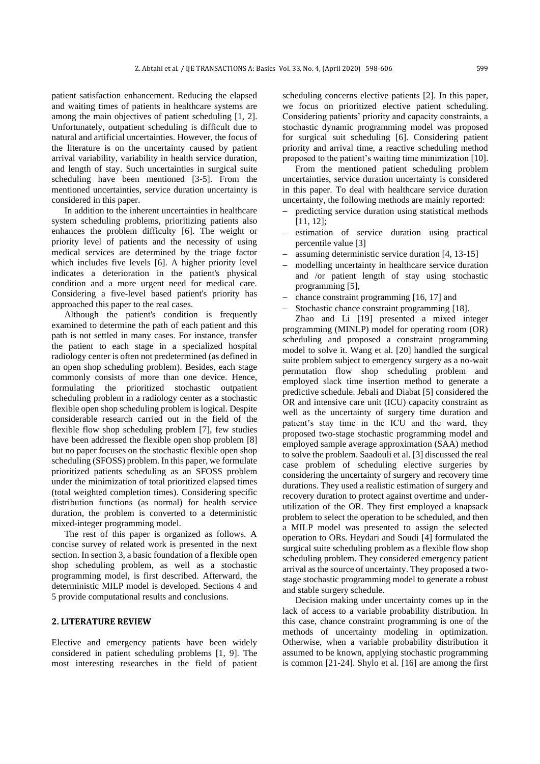patient satisfaction enhancement. Reducing the elapsed and waiting times of patients in healthcare systems are among the main objectives of patient scheduling [1, 2]. Unfortunately, outpatient scheduling is difficult due to natural and artificial uncertainties. However, the focus of the literature is on the uncertainty caused by patient arrival variability, variability in health service duration, and length of stay. Such uncertainties in surgical suite scheduling have been mentioned [3-5]. From the mentioned uncertainties, service duration uncertainty is considered in this paper.

In addition to the inherent uncertainties in healthcare system scheduling problems, prioritizing patients also enhances the problem difficulty [6]. The weight or priority level of patients and the necessity of using medical services are determined by the triage factor which includes five levels [6]. A higher priority level indicates a deterioration in the patient's physical condition and a more urgent need for medical care. Considering a five-level based patient's priority has approached this paper to the real cases.

Although the patient's condition is frequently examined to determine the path of each patient and this path is not settled in many cases. For instance, transfer the patient to each stage in a specialized hospital radiology center is often not predetermined (as defined in an open shop scheduling problem). Besides, each stage commonly consists of more than one device. Hence, formulating the prioritized stochastic outpatient scheduling problem in a radiology center as a stochastic flexible open shop scheduling problem is logical. Despite considerable research carried out in the field of the flexible flow shop scheduling problem [7], few studies have been addressed the flexible open shop problem [8] but no paper focuses on the stochastic flexible open shop scheduling (SFOSS) problem. In this paper, we formulate prioritized patients scheduling as an SFOSS problem under the minimization of total prioritized elapsed times (total weighted completion times). Considering specific distribution functions (as normal) for health service duration, the problem is converted to a deterministic mixed-integer programming model.

The rest of this paper is organized as follows. A concise survey of related work is presented in the next section. In section 3, a basic foundation of a flexible open shop scheduling problem, as well as a stochastic programming model, is first described. Afterward, the deterministic MILP model is developed. Sections 4 and 5 provide computational results and conclusions.

### **2. LITERATURE REVIEW**

Elective and emergency patients have been widely considered in patient scheduling problems [1, 9]. The most interesting researches in the field of patient scheduling concerns elective patients [2]. In this paper, we focus on prioritized elective patient scheduling. Considering patients' priority and capacity constraints, a stochastic dynamic programming model was proposed for surgical suit scheduling [6]. Considering patient priority and arrival time, a reactive scheduling method proposed to the patient's waiting time minimization [10].

From the mentioned patient scheduling problem uncertainties, service duration uncertainty is considered in this paper. To deal with healthcare service duration uncertainty, the following methods are mainly reported:

- predicting service duration using statistical methods [11, 12];
- estimation of service duration using practical percentile value [3]
- − assuming deterministic service duration [4, 13-15]
- modelling uncertainty in healthcare service duration and /or patient length of stay using stochastic programming [5],
- − chance constraint programming [16, 17] and
- Stochastic chance constraint programming [18].

Zhao and Li [19] presented a mixed integer programming (MINLP) model for operating room (OR) scheduling and proposed a constraint programming model to solve it. Wang et al. [20] handled the surgical suite problem subject to emergency surgery as a no-wait permutation flow shop scheduling problem and employed slack time insertion method to generate a predictive schedule. Jebali and Diabat [5] considered the OR and intensive care unit (ICU) capacity constraint as well as the uncertainty of surgery time duration and patient's stay time in the ICU and the ward, they proposed two-stage stochastic programming model and employed sample average approximation (SAA) method to solve the problem. Saadouli et al. [3] discussed the real case problem of scheduling elective surgeries by considering the uncertainty of surgery and recovery time durations. They used a realistic estimation of surgery and recovery duration to protect against overtime and underutilization of the OR. They first employed a knapsack problem to select the operation to be scheduled, and then a MILP model was presented to assign the selected operation to ORs. Heydari and Soudi [4] formulated the surgical suite scheduling problem as a flexible flow shop scheduling problem. They considered emergency patient arrival as the source of uncertainty. They proposed a twostage stochastic programming model to generate a robust and stable surgery schedule.

Decision making under uncertainty comes up in the lack of access to a variable probability distribution. In this case, chance constraint programming is one of the methods of uncertainty modeling in optimization. Otherwise, when a variable probability distribution it assumed to be known, applying stochastic programming is common [21-24]. Shylo et al. [16] are among the first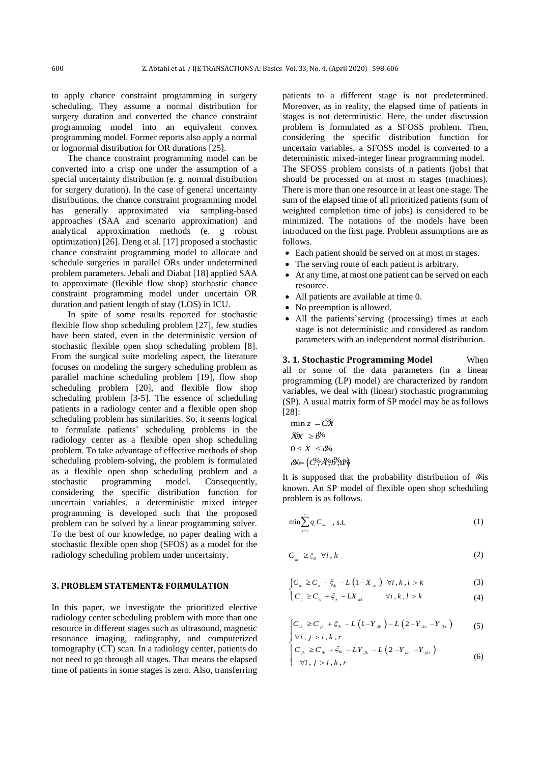to apply chance constraint programming in surgery scheduling. They assume a normal distribution for surgery duration and converted the chance constraint programming model into an equivalent convex programming model. Former reports also apply a normal or lognormal distribution for OR durations [25].

The chance constraint programming model can be converted into a crisp one under the assumption of a special uncertainty distribution (e. g. normal distribution for surgery duration). In the case of general uncertainty distributions, the chance constraint programming model has generally approximated via sampling-based approaches (SAA and scenario approximation) and analytical approximation methods (e. g robust optimization) [26]. Deng et al. [17] proposed a stochastic chance constraint programming model to allocate and schedule surgeries in parallel ORs under undetermined problem parameters. Jebali and Diabat [18] applied SAA to approximate (flexible flow shop) stochastic chance constraint programming model under uncertain OR duration and patient length of stay (LOS) in ICU.

In spite of some results reported for stochastic flexible flow shop scheduling problem [27], few studies have been stated, even in the deterministic version of stochastic flexible open shop scheduling problem [8]. From the surgical suite modeling aspect, the literature focuses on modeling the surgery scheduling problem as parallel machine scheduling problem [19], flow shop scheduling problem [20], and flexible flow shop scheduling problem [3-5]. The essence of scheduling patients in a radiology center and a flexible open shop scheduling problem has similarities. So, it seems logical to formulate patients' scheduling problems in the radiology center as a flexible open shop scheduling problem. To take advantage of effective methods of shop scheduling problem-solving, the problem is formulated as a flexible open shop scheduling problem and a stochastic programming model. Consequently, considering the specific distribution function for uncertain variables, a deterministic mixed integer programming is developed such that the proposed problem can be solved by a linear programming solver. To the best of our knowledge, no paper dealing with a stochastic flexible open shop (SFOS) as a model for the radiology scheduling problem under uncertainty.

#### **3. PROBLEM STATEMENT& FORMULATION**

In this paper, we investigate the prioritized elective radiology center scheduling problem with more than one resource in different stages such as ultrasound, magnetic resonance imaging, radiography, and computerized tomography (CT) scan. In a radiology center, patients do not need to go through all stages. That means the elapsed time of patients in some stages is zero. Also, transferring patients to a different stage is not predetermined. Moreover, as in reality, the elapsed time of patients in stages is not deterministic. Here, the under discussion problem is formulated as a SFOSS problem. Then, considering the specific distribution function for uncertain variables, a SFOSS model is converted to a deterministic mixed-integer linear programming model. The SFOSS problem consists of n patients (jobs) that should be processed on at most m stages (machines). There is more than one resource in at least one stage. The sum of the elapsed time of all prioritized patients (sum of weighted completion time of jobs) is considered to be minimized. The notations of the models have been introduced on the first page. Problem assumptions are as follows.

- Each patient should be served on at most m stages.
- The serving route of each patient is arbitrary.
- At any time, at most one patient can be served on each resource.
- All patients are available at time 0.
- No preemption is allowed.
- All the patients' serving (processing) times at each stage is not deterministic and considered as random parameters with an independent normal distribution.

**3. 1. Stochastic Programming Model** When all or some of the data parameters (in a linear programming (LP) model) are characterized by random variables, we deal with (linear) stochastic programming (SP). A usual matrix form of SP model may be as follows [28]:

$$
\min z = C\mathbf{X}
$$
  
\n
$$
\mathbf{X}\mathbf{X} \ge \mathbf{B}^{\mathbf{y}_0}
$$
  
\n
$$
0 \le X \le \mathbf{B}^{\mathbf{z}_0}
$$
  
\n
$$
\mathbf{B} = (C^{\mathbf{z}_0}, A^{\mathbf{z}_1}, B^{\mathbf{z}_2}, B^{\mathbf{z}_1})
$$

It is supposed that the probability distribution of  $\omega$ is known. An SP model of flexible open shop scheduling problem is as follows.

$$
\min \sum_{i=1}^{n} q_i C_{i m}, \text{ s.t. } (1)
$$

$$
C_{ik} \geq \xi_{ik} \ \forall i, k \tag{2}
$$

$$
\begin{cases}\nC_{ik} \ge C_{il} + \xi_{ik} - L\left(1 - X_{ik}\right) \quad \forall i, k, l > k\n\end{cases} \tag{3}
$$

$$
\begin{cases} \sum_{\mu=0}^{\infty} & \text{if } \mu \leq k \\ C_{\mu} \geq C_{\mu} + \xi_{\mu} - LX_{\mu} & \text{if } k, l > k \end{cases}
$$
 (4)

$$
\begin{cases} C_{ik} \ge C_{jk} + \xi_{ik} - L \left( 1 - Y_{ijk} \right) - L \left( 2 - Y_{ikr} - Y_{jkr} \right) \\ \forall i, i > i, k, r. \end{cases}
$$
 (5)

$$
\begin{cases} \forall i, j > i, k, r \\ C_{jk} \ge C_{ik} + \xi_{ik} - LY_{ijk} - L(2 - Y_{ik} - Y_{jk}) \\ \forall i, j > i, k, r \end{cases}
$$
(6)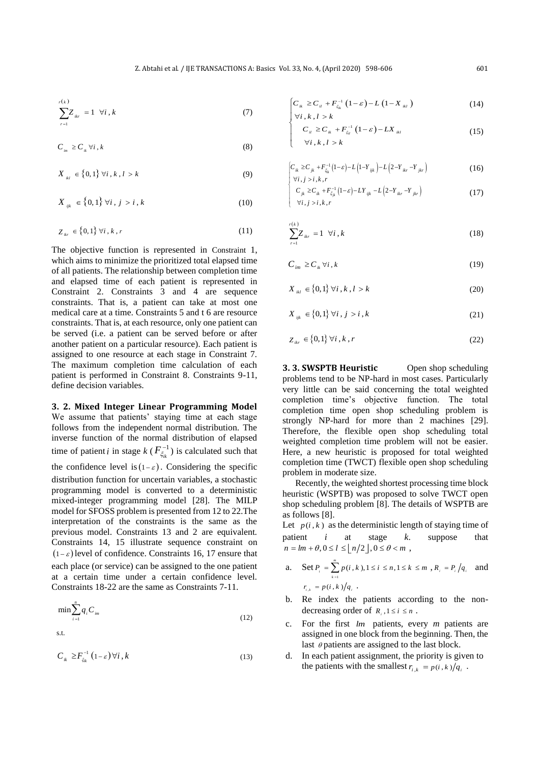$$
\sum_{r=1}^{r(k)} Z_{ikr} = 1 \quad \forall i, k \tag{7}
$$

$$
C_{_{im}} \ge C_{_{ik}} \,\forall i \,, k \tag{8}
$$

$$
X_{ik} \in \{0,1\} \,\forall i, k, l > k \tag{9}
$$

$$
X_{iik} \in \{0,1\} \,\forall i \,, \, j > i \,, k \tag{10}
$$

$$
Z_{ikr} \in \{0,1\} \,\forall i,k,r \tag{11}
$$

The objective function is represented in Constraint 1, which aims to minimize the prioritized total elapsed time of all patients. The relationship between completion time and elapsed time of each patient is represented in Constraint 2. Constraints 3 and 4 are sequence constraints. That is, a patient can take at most one medical care at a time. Constraints 5 and t 6 are resource constraints. That is, at each resource, only one patient can be served (i.e. a patient can be served before or after another patient on a particular resource). Each patient is assigned to one resource at each stage in Constraint 7. The maximum completion time calculation of each patient is performed in Constraint 8. Constraints 9-11, define decision variables.

## **3. 2. Mixed Integer Linear Programming Model**  We assume that patients' staying time at each stage follows from the independent normal distribution. The inverse function of the normal distribution of elapsed time of patient *i* in stage  $k$  ( $F_{\xi_i}^{-1}$ )  $F_{\xi_{ik}}^{-1}$ ) is calculated such that the confidence level is  $(1 - \varepsilon)$ . Considering the specific distribution function for uncertain variables, a stochastic programming model is converted to a deterministic mixed-integer programming model [28]. The MILP model for SFOSS problem is presented from 12 to 22.The interpretation of the constraints is the same as the previous model. Constraints 13 and 2 are equivalent. Constraints 14, 15 illustrate sequence constraint on  $(1 - \varepsilon)$  level of confidence. Constraints 16, 17 ensure that each place (or service) can be assigned to the one patient at a certain time under a certain confidence level. Constraints 18-22 are the same as Constraints 7-11.

$$
\min \sum_{i=1}^{n} q_i C_{im} \tag{12}
$$

s.t.

$$
C_{ik} \ge F_{\xi_{ik}}^{-1} (1 - \varepsilon) \,\forall i, k \tag{13}
$$

$$
\begin{cases} C_{ik} \ge C_{il} + F_{\xi_{ik}}^{-1} (1 - \varepsilon) - L (1 - X_{ik}) \\ \forall i, k, l > k \end{cases}
$$
 (14)

$$
\begin{cases}\n\forall i, k, l > k \\
C_{il} \ge C_{ik} + F_{\xi_{il}}^{-1} (1 - \varepsilon) - LX_{ik} \\
\forall i, k, l > k\n\end{cases}
$$
\n(15)

$$
\begin{cases}\nC_{ik} \ge C_{jk} + F_{\xi_{ik}}^{-1} (1 - \varepsilon) - L \left( 1 - Y_{ijk} \right) - L \left( 2 - Y_{ikr} - Y_{jkr} \right) \\
\forall i, j > i, k, r\n\end{cases}
$$
\n(16)

$$
\begin{cases}\n\forall i, j > i, k, r \\
C_{jk} \ge C_{ik} + F_{\xi_{jk}}^{-1} (1-\varepsilon) - LY_{ijk} - L(2-Y_{ikr} - Y_{jkr}) \\
\forall i, j > i, k, r\n\end{cases}
$$
\n(17)

$$
\sum_{r=1}^{r(k)} Z_{ikr} = 1 \quad \forall i, k \tag{18}
$$

$$
C_{im} \geq C_{ik} \forall i, k \tag{19}
$$

$$
X_{ikl} \in \{0,1\} \,\forall i, k, l > k \tag{20}
$$

$$
X_{ijk} \in \{0,1\} \,\forall i,j>i,k \tag{21}
$$

$$
Z_{ikr} \in \{0,1\} \,\forall i,k,r \tag{22}
$$

**3. 3. SWSPTB Heuristic** Open shop scheduling problems tend to be NP-hard in most cases. Particularly very little can be said concerning the total weighted completion time's objective function. The total completion time open shop scheduling problem is strongly NP-hard for more than 2 machines [29]. Therefore, the flexible open shop scheduling total weighted completion time problem will not be easier. Here, a new heuristic is proposed for total weighted completion time (TWCT) flexible open shop scheduling problem in moderate size.

Recently, the weighted shortest processing time block heuristic (WSPTB) was proposed to solve TWCT open shop scheduling problem [8]. The details of WSPTB are as follows [8].

Let  $p(i, k)$  as the deterministic length of staying time of patient *i* at stage *k*. suppose that  $n = lm + \theta, 0 \le l \le \lfloor n/2 \rfloor, 0 \le \theta < m$ ,

a. Set 
$$
P_i = \sum_{k=1}^{m} p(i, k), 1 \le i \le n, 1 \le k \le m, R_i = P_i / q_i
$$
 and  
 $r_{i,k} = p(i, k) / q_i$ .

- b. Re index the patients according to the nondecreasing order of  $R_i$ ,  $1 \le i \le n$ .
- c. For the first *lm* patients, every *m* patients are assigned in one block from the beginning. Then, the last  $\theta$  patients are assigned to the last block.
- d. In each patient assignment, the priority is given to the patients with the smallest  $r_{i,k} = p(i, k)/q_i$ .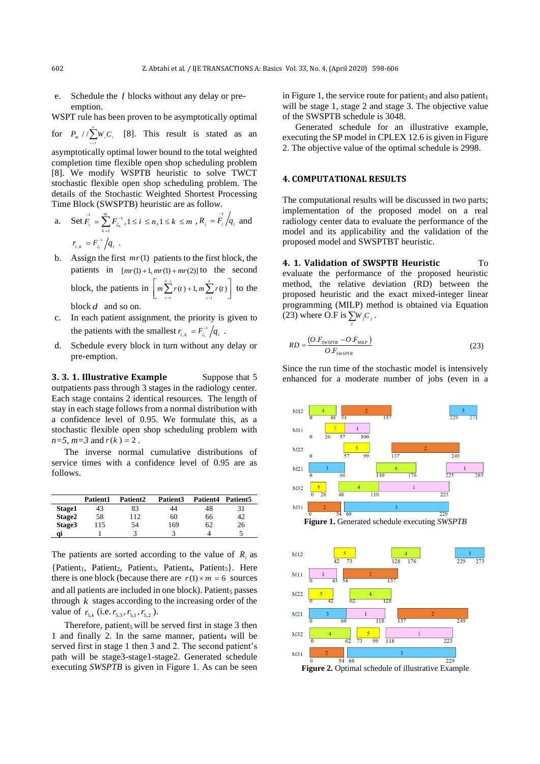e. Schedule the *l* blocks without any delay or preemption.

WSPT rule has been proven to be asymptotically optimal

for  $P_m / / \sum_{i} W_i C_i$  [8]. This result is stated as an *i*

asymptotically optimal lower bound to the total weighted completion time flexible open shop scheduling problem [8]. We modify WSPTB heuristic to solve TWCT stochastic flexible open shop scheduling problem. The details of the Stochastic Weighted Shortest Processing Time Block (SWSPTB) heuristic are as follow.

a. Set 
$$
F_i = \sum_{k=1}^{n} F_{\xi_k}^{-1}
$$
,  $1 \le i \le n, 1 \le k \le m$ ,  $R_i = F_i / q_i$  and  

$$
r_{i,k} = F_{\xi_k}^{-1} / q_i
$$
.

b. Assign the first  $mr(1)$  patients to the first block, the patients in  $[mr(1) + 1, mr(1) + mr(2)]$  to the second

block, the patients in  $\Big| m \sum_{i=1}^{d-1}$  $\sum_{t=1}^{d-1} r(t) + 1, m \sum_{t=1}^{d} r(t)$ *t* =1  $m \sum_{i=1}^{n} r(t) + 1, m \sum_{i=1}^{n} r(t)$ = <sup>=</sup>  $\left[ m \sum_{t=1}^{d-1} r(t) + 1, m \sum_{t=1}^{d} r(t) \right]$  to the

block *d* and so on.

- c. In each patient assignment, the priority is given to the patients with the smallest  $r_{i,k} = F_{\xi_i}^{-1}/q_i$ .
- d. Schedule every block in turn without any delay or pre-emption.

**3. 3. 1. Illustrative Example** Suppose that 5 outpatients pass through 3 stages in the radiology center. Each stage contains 2 identical resources. The length of stay in each stage follows from a normal distribution with a confidence level of 0.95. We formulate this, as a stochastic flexible open shop scheduling problem with  $n=5$ ,  $m=3$  and  $r(k) = 2$ .

The inverse normal cumulative distributions of service times with a confidence level of 0.95 are as follows.

|        | Patient1 | Patient <sub>2</sub> | Patient3 | Patient4 | Patient <sub>5</sub> |
|--------|----------|----------------------|----------|----------|----------------------|
| Stage1 | 43       | 83                   | 44       | 48       |                      |
| Stage2 | 58       | 112                  | 60       | 66       | 42                   |
| Stage3 | 115      | 54                   | 169      | 62       | 26                   |
| qi     |          |                      |          |          |                      |

The patients are sorted according to the value of  $R_i$  as  ${Patient}_1$ , Patient<sub>2</sub>, Patient<sub>3</sub>, Patient<sub>4</sub>, Patient<sub>5</sub>}. Here there is one block (because there are  $r(1) \times m = 6$  sources and all patients are included in one block). Patient<sub>5</sub> passes through  $k$  stages according to the increasing order of the value of  $r_{5,k}$  (i.e.  $r_{5,3}$ ,  $r_{5,1}$ ,  $r_{5,2}$ ).

Therefore, patient<sub>5</sub> will be served first in stage  $3$  then 1 and finally 2. In the same manner, patient<sub>4</sub> will be served first in stage 1 then 3 and 2. The second patient's path will be stage3-stage1-stage2. Generated schedule executing *SWSPTB* is given in Figure 1. As can be seen

in Figure 1, the service route for patient<sub>3</sub> and also patient<sub>1</sub> will be stage 1, stage 2 and stage 3. The objective value of the SWSPTB schedule is 3048.

Generated schedule for an illustrative example, executing the SP model in CPLEX 12.6 is given in Figure 2. The objective value of the optimal schedule is 2998.

#### **4. COMPUTATIONAL RESULTS**

*j*

The computational results will be discussed in two parts; implementation of the proposed model on a real radiology center data to evaluate the performance of the model and its applicability and the validation of the proposed model and SWSPTBT heuristic.

**4. 1. Validation of SWSPTB Heuristic** To evaluate the performance of the proposed heuristic method, the relative deviation (RD) between the proposed heuristic and the exact mixed-integer linear programming (MILP) method is obtained via Equation (23) where O.F is  $\sum W_i C_i$ .

$$
RD = \frac{(O.F_{\text{sw}} - O.F_{\text{MLP}})}{O.F_{\text{sw}}_{\text{S}}}
$$
\n(23)

Since the run time of the stochastic model is intensively enhanced for a moderate number of jobs (even in a



*n*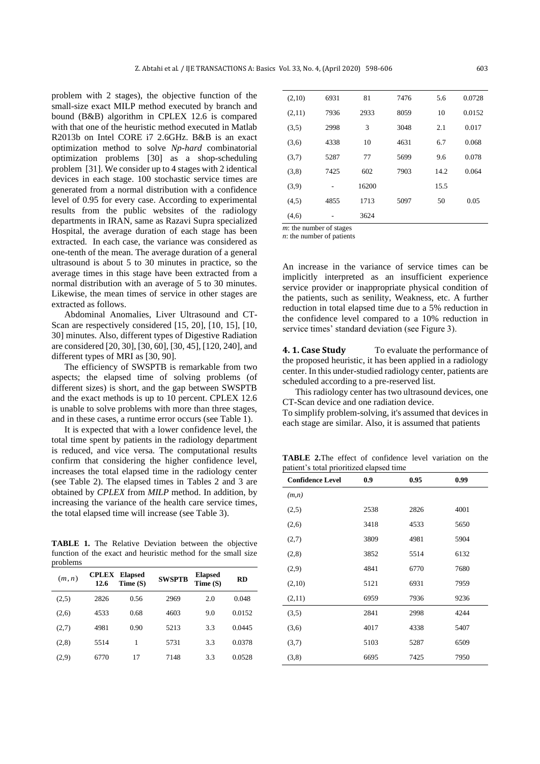problem with 2 stages), the objective function of the small-size exact MILP method executed by branch and bound (B&B) algorithm in CPLEX 12.6 is compared with that one of the heuristic method executed in Matlab R2013b on Intel CORE i7 2.6GHz. B&B is an exact optimization method to solve *Np-hard* combinatorial optimization problems [30] as a shop-scheduling problem [31]. We consider up to 4 stages with 2 identical devices in each stage. 100 stochastic service times are generated from a normal distribution with a confidence level of 0.95 for every case. According to experimental results from the public websites of the radiology departments in IRAN, same as Razavi Supra specialized Hospital, the average duration of each stage has been extracted. In each case, the variance was considered as one-tenth of the mean. The average duration of a general ultrasound is about 5 to 30 minutes in practice, so the average times in this stage have been extracted from a normal distribution with an average of 5 to 30 minutes. Likewise, the mean times of service in other stages are extracted as follows.

Abdominal Anomalies, Liver Ultrasound and CT-Scan are respectively considered [15, 20], [10, 15], [10, 30] minutes. Also, different types of Digestive Radiation are considered [20, 30], [30, 60], [30, 45], [120, 240], and different types of MRI as [30, 90].

The efficiency of SWSPTB is remarkable from two aspects; the elapsed time of solving problems (of different sizes) is short, and the gap between SWSPTB and the exact methods is up to 10 percent. CPLEX 12.6 is unable to solve problems with more than three stages, and in these cases, a runtime error occurs (see Table 1).

It is expected that with a lower confidence level, the total time spent by patients in the radiology department is reduced, and vice versa. The computational results confirm that considering the higher confidence level, increases the total elapsed time in the radiology center (see Table 2). The elapsed times in Tables 2 and 3 are obtained by *CPLEX* from *MILP* method. In addition, by increasing the variance of the health care service times, the total elapsed time will increase (see Table 3).

**TABLE 1.** The Relative Deviation between the objective function of the exact and heuristic method for the small size problems

| (m, n) | <b>CPLEX</b><br>12.6 | <b>Elapsed</b><br>Time(S) | <b>SWSPTB</b> | <b>Elapsed</b><br>Time(S) | <b>RD</b> |
|--------|----------------------|---------------------------|---------------|---------------------------|-----------|
| (2,5)  | 2826                 | 0.56                      | 2969          | 2.0                       | 0.048     |
| (2,6)  | 4533                 | 0.68                      | 4603          | 9.0                       | 0.0152    |
| (2,7)  | 4981                 | 0.90                      | 5213          | 3.3                       | 0.0445    |
| (2,8)  | 5514                 | 1                         | 5731          | 3.3                       | 0.0378    |
| (2.9)  | 6770                 | 17                        | 7148          | 3.3                       | 0.0528    |

| (2,10) | 6931 | 81    | 7476 | 5.6  | 0.0728 |
|--------|------|-------|------|------|--------|
| (2,11) | 7936 | 2933  | 8059 | 10   | 0.0152 |
| (3,5)  | 2998 | 3     | 3048 | 2.1  | 0.017  |
| (3,6)  | 4338 | 10    | 4631 | 6.7  | 0.068  |
| (3,7)  | 5287 | 77    | 5699 | 9.6  | 0.078  |
| (3,8)  | 7425 | 602   | 7903 | 14.2 | 0.064  |
| (3,9)  |      | 16200 |      | 15.5 |        |
| (4,5)  | 4855 | 1713  | 5097 | 50   | 0.05   |
| (4,6)  |      | 3624  |      |      |        |
|        |      |       |      |      |        |

*m*: the number of stages

*n*: the number of patients

An increase in the variance of service times can be implicitly interpreted as an insufficient experience service provider or inappropriate physical condition of the patients, such as senility, Weakness, etc. A further reduction in total elapsed time due to a 5% reduction in the confidence level compared to a 10% reduction in service times' standard deviation (see Figure 3).

**4. 1. Case Study** To evaluate the performance of the proposed heuristic, it has been applied in a radiology center. In this under-studied radiology center, patients are scheduled according to a pre-reserved list.

This radiology center has two ultrasound devices, one CT-Scan device and one radiation device.

To simplify problem-solving, it's assumed that devices in each stage are similar. Also, it is assumed that patients

**TABLE 2.**The effect of confidence level variation on the patient's total prioritized elapsed time

| <b>Confidence Level</b> | 0.9  | 0.95 | 0.99 |
|-------------------------|------|------|------|
| (m,n)                   |      |      |      |
| (2,5)                   | 2538 | 2826 | 4001 |
| (2,6)                   | 3418 | 4533 | 5650 |
| (2,7)                   | 3809 | 4981 | 5904 |
| (2,8)                   | 3852 | 5514 | 6132 |
| (2,9)                   | 4841 | 6770 | 7680 |
| (2,10)                  | 5121 | 6931 | 7959 |
| (2,11)                  | 6959 | 7936 | 9236 |
| (3,5)                   | 2841 | 2998 | 4244 |
| (3,6)                   | 4017 | 4338 | 5407 |
| (3,7)                   | 5103 | 5287 | 6509 |
| (3,8)                   | 6695 | 7425 | 7950 |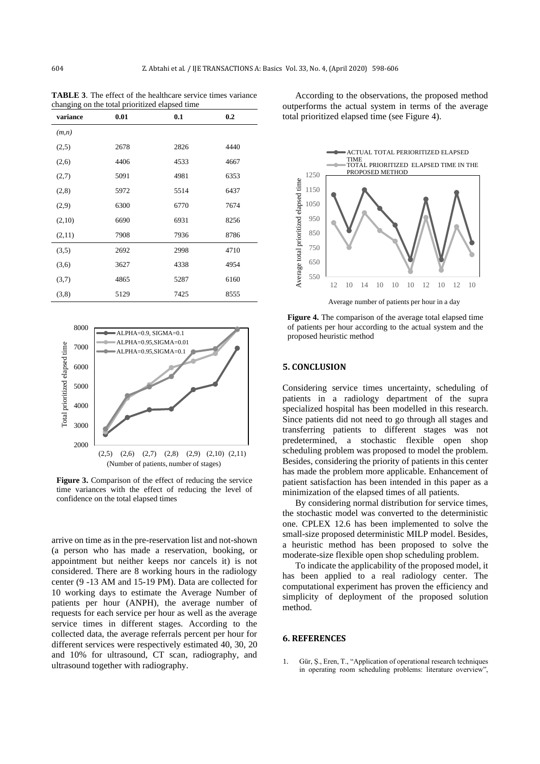**TABLE 3**. The effect of the healthcare service times variance changing on the total prioritized elapsed time

| variance | 0.01 | 0.1  | 0.2  |  |
|----------|------|------|------|--|
| (m,n)    |      |      |      |  |
| (2,5)    | 2678 | 2826 | 4440 |  |
| (2,6)    | 4406 | 4533 | 4667 |  |
| (2,7)    | 5091 | 4981 | 6353 |  |
| (2,8)    | 5972 | 5514 | 6437 |  |
| (2,9)    | 6300 | 6770 | 7674 |  |
| (2,10)   | 6690 | 6931 | 8256 |  |
| (2,11)   | 7908 | 7936 | 8786 |  |
| (3,5)    | 2692 | 2998 | 4710 |  |
| (3,6)    | 3627 | 4338 | 4954 |  |
| (3,7)    | 4865 | 5287 | 6160 |  |
| (3,8)    | 5129 | 7425 | 8555 |  |
|          |      |      |      |  |



**Figure 3.** Comparison of the effect of reducing the service time variances with the effect of reducing the level of confidence on the total elapsed times

arrive on time as in the pre-reservation list and not-shown (a person who has made a reservation, booking, or appointment but neither keeps nor cancels it) is not considered. There are 8 working hours in the radiology center (9 -13 AM and 15-19 PM). Data are collected for 10 working days to estimate the Average Number of patients per hour (ANPH), the average number of requests for each service per hour as well as the average service times in different stages. According to the collected data, the average referrals percent per hour for different services were respectively estimated 40, 30, 20 and 10% for ultrasound, CT scan, radiography, and ultrasound together with radiography.

According to the observations, the proposed method outperforms the actual system in terms of the average total prioritized elapsed time (see Figure 4).



**Figure 4.** The comparison of the average total elapsed time of patients per hour according to the actual system and the proposed heuristic method

#### **5. CONCLUSION**

Considering service times uncertainty, scheduling of patients in a radiology department of the supra specialized hospital has been modelled in this research. Since patients did not need to go through all stages and transferring patients to different stages was not predetermined, a stochastic flexible open shop scheduling problem was proposed to model the problem. Besides, considering the priority of patients in this center has made the problem more applicable. Enhancement of patient satisfaction has been intended in this paper as a minimization of the elapsed times of all patients.

By considering normal distribution for service times, the stochastic model was converted to the deterministic one. CPLEX 12.6 has been implemented to solve the small-size proposed deterministic MILP model. Besides, a heuristic method has been proposed to solve the moderate-size flexible open shop scheduling problem.

To indicate the applicability of the proposed model, it has been applied to a real radiology center. The computational experiment has proven the efficiency and simplicity of deployment of the proposed solution method.

#### **6. REFERENCES**

1. Gür, Ş., Eren, T., "Application of operational research techniques in operating room scheduling problems: literature overview",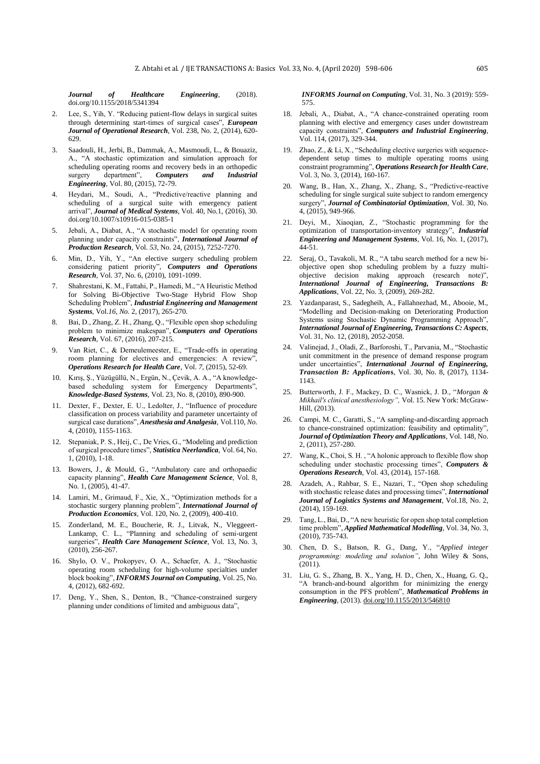*Journal of Healthcare Engineering*, (2018). [doi.org/10.1155/2018/5341394](https://doi.org/10.1155/2018/5341394)

- 2. Lee, S., Yih, Y. "Reducing patient-flow delays in surgical suites through determining start-times of surgical cases", *European Journal of Operational Research*, Vol. 238, No. 2, (2014), 620- 629.
- 3. Saadouli, H., Jerbi, B., Dammak, A., Masmoudi, L., & Bouaziz, A., "A stochastic optimization and simulation approach for scheduling operating rooms and recovery beds in an orthopedic surgery department", *Computers and Industrial Engineering*, Vol. 80, (2015), 72-79.
- 4. Heydari, M., Soudi, A., "Predictive/reactive planning and scheduling of a surgical suite with emergency patient arrival", *Journal of Medical Systems*, Vol. 40, No.1, (2016), 30. doi.org/10.1007/s10916-015-0385-1
- 5. Jebali, A., Diabat, A., "A stochastic model for operating room planning under capacity constraints", *International Journal of Production Research*, Vol. *53*, No. 24, (2015), 7252-7270.
- 6. Min, D., Yih, Y., "An elective surgery scheduling problem considering patient priority", *Computers and Operations Research*, Vol. 37, No. 6, (2010), 1091-1099.
- 7. Shahrestani, K. M., Fattahi, P., Hamedi, M., "A Heuristic Method for Solving Bi-Objective Two-Stage Hybrid Flow Shop Scheduling Problem", *Industrial Engineering and Management Systems*, Vol.*16, No.* 2, (2017), 265-270.
- 8. Bai, D., Zhang, Z. H., Zhang, Q., "Flexible open shop scheduling problem to minimize makespan", *Computers and Operations Research*, Vol. 67, (2016), 207-215.
- 9. Van Riet, C., & Demeulemeester, E., "Trade-offs in operating room planning for electives and emergencies: A review", *Operations Research for Health Care*, Vol. *7*, (2015), 52-69.
- 10. Kırış, Ş., Yüzügüllü, N., Ergün, N., Çevik, A. A., "A knowledgebased scheduling system for Emergency Departments", *Knowledge-Based Systems*, Vol. 23*,* No. 8, (2010), 890-900.
- 11. Dexter, F., Dexter, E. U., Ledolter, J., "Influence of procedure classification on process variability and parameter uncertainty of surgical case durations", *Anesthesia and Analgesia*, Vol.110*, No.*  4, (2010), 1155-1163.
- 12. Stepaniak, P. S., Heij, C., De Vries, G., "Modeling and prediction of surgical procedure times", *Statistica Neerlandica*, Vol. 64, No*.*  1, (2010), 1-18.
- 13. Bowers, J., & Mould, G., "Ambulatory care and orthopaedic capacity planning", *Health Care Management Science*, Vol. 8*,*  No*.* 1, (2005), 41-47.
- 14. Lamiri, M., Grimaud, F., Xie, X., "Optimization methods for a stochastic surgery planning problem", *International Journal of Production Economics*, Vol. 120, No. 2, (2009), 400-410.
- 15. Zonderland, M. E., Boucherie, R. J., Litvak, N., Vleggeert-Lankamp, C. L., "Planning and scheduling of semi-urgent surgeries", *Health Care Management Science*, Vol. 13, No*.* 3, (2010), 256-267.
- 16. Shylo, O. V., Prokopyev, O. A., Schaefer, A. J., "Stochastic operating room scheduling for high-volume specialties under block booking", *INFORMS Journal on Computing*, Vol. 25, No. 4, (2012), 682-692.
- 17. Deng, Y., Shen, S., Denton, B., "Chance-constrained surgery planning under conditions of limited and ambiguous data",

*INFORMS Journal on Computing*, Vol. 31, No. 3 (2019): 559- 575.

- 18. Jebali, A., Diabat, A., "A chance-constrained operating room planning with elective and emergency cases under downstream capacity constraints", *Computers and Industrial Engineering*, Vol. 114, (2017), 329-344.
- 19. Zhao, Z., & Li, X., "Scheduling elective surgeries with sequencedependent setup times to multiple operating rooms using constraint programming", *Operations Research for Health Care*, Vol. 3, No. 3, (2014), 160-167.
- 20. Wang, B., Han, X., Zhang, X., Zhang, S., "Predictive-reactive scheduling for single surgical suite subject to random emergency surgery", *Journal of Combinatorial Optimization*, Vol. 30, No. 4, (2015), 949-966.
- 21. Deyi, M., Xiaoqian, Z., "Stochastic programming for the optimization of transportation-inventory strategy", *Industrial Engineering and Management Systems*, Vol. 16, No*.* 1, (2017), 44-51.
- 22. Seraj, O., Tavakoli, M. R., "A tabu search method for a new biobjective open shop scheduling problem by a fuzzy multiobjective decision making approach (research note)", *International Journal of Engineering, Transactions B: Applications*[, Vol. 22, No. 3,](http://www.ijeir.info/issue_9235_9238_Volume+22%2C+Issue+3%2C+October+2009%2C+Page+269-282.html) (2009), 269-282.
- 23. Yazdanparast, S., Sadegheih, A., Fallahnezhad, M., Abooie, M., "Modelling and Decision-making on Deteriorating Production Systems using Stochastic Dynamic Programming Approach", *International Journal of Engineering, Transactions C: Aspects*, Vol. 31, No. 12, (2018), 2052-2058.
- 24. Valinejad, J., Oladi, Z., Barforoshi, T., Parvania, M., "Stochastic unit commitment in the presence of demand response program under uncertainties", *International Journal of Engineering, Transaction B: Application***s**, Vol. 30, No. 8, (2017), 1134- 1143.
- 25. Butterworth, J. F., Mackey, D. C., Wasnick, J. D., "*Morgan & Mikhail's clinical anesthesiology",* Vol. 15. New York: McGraw-Hill, (2013).
- 26. Campi, M. C., Garatti, S., "A sampling-and-discarding approach to chance-constrained optimization: feasibility and optimality", *Journal of Optimization Theory and Applications*, Vol. 148, No. 2, (2011), 257-280.
- 27. Wang, K., Choi, S. H. , "A holonic approach to flexible flow shop scheduling under stochastic processing times", *Computers & Operations Research*, Vol. 43, (2014), 157-168.
- 28. Azadeh, A., Rahbar, S. E., Nazari, T., "Open shop scheduling with stochastic release dates and processing times", *International Journal of Logistics Systems and Management*, Vol.18, No. 2, (2014), 159-169.
- 29. Tang, L., Bai, D., "A new heuristic for open shop total completion time problem", *Applied Mathematical Modelling*, Vol. 34, No. 3, (2010), 735-743.
- 30. Chen, D. S., Batson, R. G., Dang, Y., "*Applied integer programming: modeling and solution"*, John Wiley & Sons, (2011).
- 31. Liu, G. S., Zhang, B. X., Yang, H. D., Chen, X., Huang, G. Q., "A branch-and-bound algorithm for minimizing the energy consumption in the PFS problem", *Mathematical Problems in Engineering*, (2013). [doi.org/10.1155/2013/546810](https://doi.org/10.1155/2013/546810)